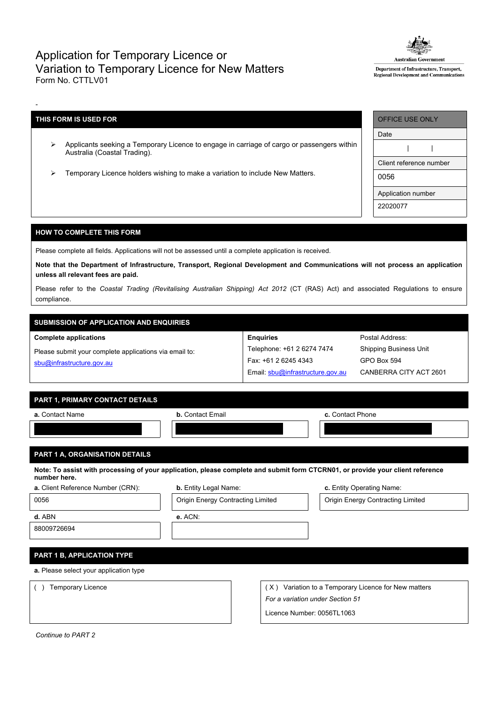## Application for Temporary Licence or Variation to Temporary Licence for New Matters Form No. CTTLV01



Department of Infrastructure, Transport, Regional Development and Communications

## **THIS FORM IS USED FOR**

-

- Applicants seeking a Temporary Licence to engage in carriage of cargo or passengers within Australia (Coastal Trading).
- Temporary Licence holders wishing to make a variation to include New Matters.

| OFFICE USE ONLY         |  |  |  |  |  |
|-------------------------|--|--|--|--|--|
| Date                    |  |  |  |  |  |
|                         |  |  |  |  |  |
| Client reference number |  |  |  |  |  |
| 0056                    |  |  |  |  |  |
| Application number      |  |  |  |  |  |
| 22020077                |  |  |  |  |  |

## **HOW TO COMPLETE THIS FORM**

Please complete all fields. Applications will not be assessed until a complete application is received.

Note that the Department of Infrastructure, Transport, Regional Development and Communications will not process an application **unless all relevant fees are paid.**

Please refer to the *Coastal Trading (Revitalising Australian Shipping) Act 2012* (CT (RAS) Act) and associated Regulations to ensure compliance.

**Enquiries**

Telephone: +61 2 6274 7474 Fax: +61 2 6245 4343

Email: [sbu@infrastructure.gov.au](mailto:sbu@infrastructure.gov.au)

# **SUBMISSION OF APPLICATION AND ENQUIRIES**

#### **Complete applications**

Please submit your complete applications via email to: [sbu@infrastructure.gov.au](mailto:sbu@infrastructure.gov.au)

| PART 1, PRIMARY CONTACT DETAILS |  |
|---------------------------------|--|
|                                 |  |
|                                 |  |

| a. Contact Name                                                                                                                                | <b>b.</b> Contact Email | c. Contact Phone |  |  |  |
|------------------------------------------------------------------------------------------------------------------------------------------------|-------------------------|------------------|--|--|--|
|                                                                                                                                                |                         |                  |  |  |  |
|                                                                                                                                                |                         |                  |  |  |  |
| <b>PART 1 A, ORGANISATION DETAILS</b>                                                                                                          |                         |                  |  |  |  |
| Note: To assist with processing of your application, please complete and submit form CTCRN01, or provide your client reference<br>number here. |                         |                  |  |  |  |

|  |  | <b>a.</b> Client Reference Number (CRN): |  |  |
|--|--|------------------------------------------|--|--|
|  |  |                                          |  |  |



**b.** Entity Legal Name: **b.** Entity Operating Name:

Postal Address: Shipping Business Unit

GPO Box 594

CANBERRA CITY ACT 2601

**d.** ABN **e.** ACN:

88009726694

## **PART 1 B, APPLICATION TYPE**

**a.** Please select your application type

( ) Temporary Licence ( X ) Variation to a Temporary Licence for New matters *For a variation under Section 51*

Licence Number: 0056TL1063

*Continue to PART 2*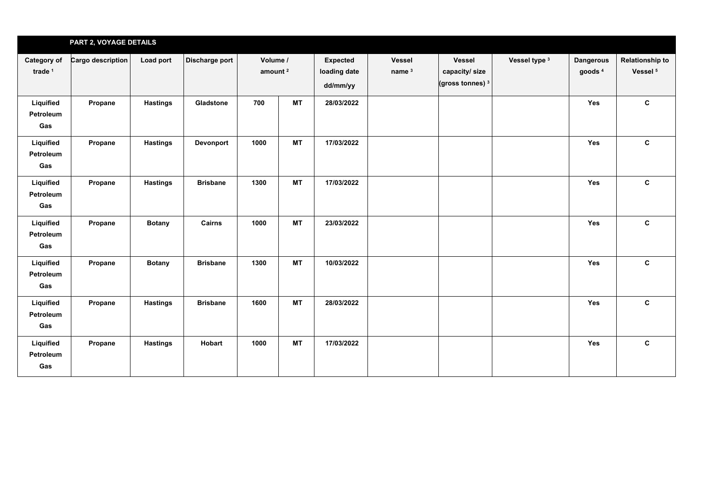|                                   | PART 2, VOYAGE DETAILS |                 |                 |                                 |           |                                             |                                    |                                               |               |                                        |                                               |
|-----------------------------------|------------------------|-----------------|-----------------|---------------------------------|-----------|---------------------------------------------|------------------------------------|-----------------------------------------------|---------------|----------------------------------------|-----------------------------------------------|
| Category of<br>trade <sup>1</sup> | Cargo description      | Load port       | Discharge port  | Volume /<br>amount <sup>2</sup> |           | <b>Expected</b><br>loading date<br>dd/mm/yy | <b>Vessel</b><br>name <sup>3</sup> | Vessel<br>capacity/size<br>(gross tonnes) $3$ | Vessel type 3 | <b>Dangerous</b><br>goods <sup>4</sup> | <b>Relationship to</b><br>Vessel <sup>5</sup> |
| Liquified<br>Petroleum<br>Gas     | Propane                | <b>Hastings</b> | Gladstone       | 700                             | MT        | 28/03/2022                                  |                                    |                                               |               | Yes                                    | $\mathbf{c}$                                  |
| Liquified<br>Petroleum<br>Gas     | Propane                | <b>Hastings</b> | Devonport       | 1000                            | <b>MT</b> | 17/03/2022                                  |                                    |                                               |               | Yes                                    | $\mathbf{C}$                                  |
| Liquified<br>Petroleum<br>Gas     | Propane                | <b>Hastings</b> | <b>Brisbane</b> | 1300                            | <b>MT</b> | 17/03/2022                                  |                                    |                                               |               | Yes                                    | $\mathbf{C}$                                  |
| Liquified<br>Petroleum<br>Gas     | Propane                | <b>Botany</b>   | Cairns          | 1000                            | MT        | 23/03/2022                                  |                                    |                                               |               | Yes                                    | $\mathbf{C}$                                  |
| Liquified<br>Petroleum<br>Gas     | Propane                | <b>Botany</b>   | <b>Brisbane</b> | 1300                            | <b>MT</b> | 10/03/2022                                  |                                    |                                               |               | Yes                                    | $\mathbf{C}$                                  |
| Liquified<br>Petroleum<br>Gas     | Propane                | <b>Hastings</b> | <b>Brisbane</b> | 1600                            | <b>MT</b> | 28/03/2022                                  |                                    |                                               |               | Yes                                    | $\mathbf{c}$                                  |
| Liquified<br>Petroleum<br>Gas     | Propane                | <b>Hastings</b> | Hobart          | 1000                            | <b>MT</b> | 17/03/2022                                  |                                    |                                               |               | Yes                                    | $\mathbf{c}$                                  |